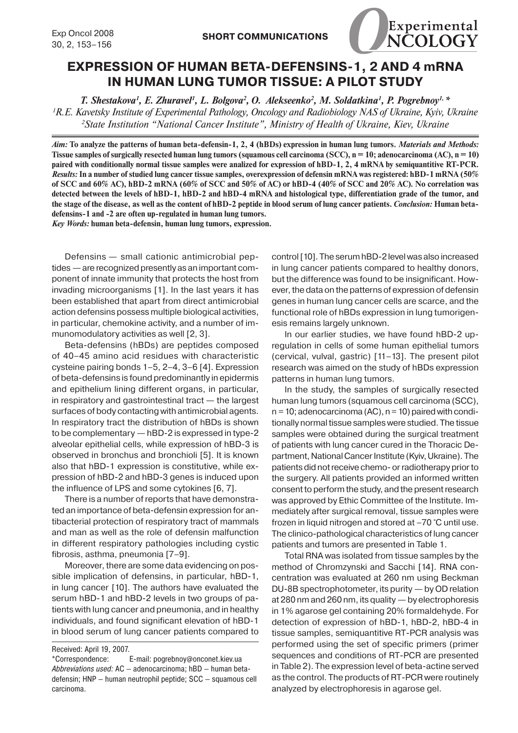

## **Expression of human beta-defensins-1, 2 and 4 mRNA in human lung tumor tissue: a pilot study**

*T. Shestakova1 , E. Zhuravel1 , L. Bolgova2 , O. Alekseenko2 , M. Soldatkina1 , P. Pogrebnoy1, \* 1 R.E. Kavetsky Institute of Experimental Pathology, Oncology and Radiobiology NAS of Ukraine, Kyiv, Ukraine 2 State Institution "National Cancer Institute", Ministry of Health of Ukraine, Kiev, Ukraine*

*Aim:* **To analyze the patterns of human beta-defensin-1, 2, 4 (hBDs) expression in human lung tumors.** *Materials and Methods:* **Tissue samples of surgically resected human lung tumors (squamous cell carcinoma (SCC), n = 10; adenocarcinoma (AC), n = 10) paired with conditionally normal tissue samples were analized for expression of hBD-1, 2, 4 mRNA by semiquantitive RT-PCR.**  *Results:* **In a number of studied lung cancer tissue samples, overexpression of defensin mRNA was registered: hBD-1 mRNA (50% of SCC and 60% AC), hBD-2 mRNA (60% of SCC and 50% of AC) or hBD-4 (40% of SCC and 20% AC). No correlation was detected between the levels of hBD-1, hBD-2 and hBD-4 mRNA and histological type, differentiation grade of the tumor, and the stage of the disease, as well as the content of hBD-2 peptide in blood serum of lung cancer patients.** *Conclusion:* **Human betadefensins-1 and -2 are often up-regulated in human lung tumors.**

*Key Words:* **human beta-defensin, human lung tumors, expression.**

Defensins — small cationic antimicrobial peptides — are recognized presently as an important component of innate immunity that protects the host from invading microorganisms [1]. In the last years it has been established that apart from direct antimicrobial action defensins possess multiple biological activities, in particular, chemokine activity, and a number of immunomodulatory activities as well [2, 3].

Beta-defensins (hBDs) are peptides composed of 40–45 amino acid residues with characteristic cysteine pairing bonds 1–5, 2–4, 3–6 [4]. Expression of beta-defensins is found predominantly in epidermis and epithelium lining different organs, in particular, in respiratory and gastrointestinal tract — the largest surfaces of body contacting with antimicrobial agents. In respiratory tract the distribution of hBDs is shown to be complementary — hBD-2 is expressed in type-2 alveolar epithelial cells, while expression of hBD-3 is observed in bronchus and bronchioli [5]. It is known also that hBD-1 expression is constitutive, while expression of hBD-2 and hBD-3 genes is induced upon the influence of LPS and some cytokines [6, 7].

There is a number of reports that have demonstrated an importance of beta-defensin expression for antibacterial protection of respiratory tract of mammals and man as well as the role of defensin malfunction in different respiratory pathologies including cystic fibrosis, asthma, pneumonia [7–9].

Moreover, there are some data evidencing on possible implication of defensins, in particular, hBD-1, in lung cancer [10]. The authors have evaluated the serum hBD-1 and hBD-2 levels in two groups of patients with lung cancer and pneumonia, and in healthy individuals, and found significant elevation of hBD-1 in blood serum of lung cancer patients compared to

control [10]. The serum hBD-2 level was also increased in lung cancer patients compared to healthy donors, but the difference was found to be insignificant. However, the data on the patterns of expression of defensin genes in human lung cancer cells are scarce, and the functional role of hBDs expression in lung tumorigenesis remains largely unknown.

In our earlier studies, we have found hBD-2 upregulation in cells of some human epithelial tumors (cervical, vulval, gastric) [11–13]. The present pilot research was aimed on the study of hBDs expression patterns in human lung tumors.

In the study, the samples of surgically resected human lung tumors (squamous cell carcinoma (SCC),  $n = 10$ ; adenocarcinoma (AC),  $n = 10$ ) paired with conditionally normal tissue samples were studied. The tissue samples were obtained during the surgical treatment of patients with lung cancer cured in the Thoracic Department, National Cancer Institute (Kyiv, Ukraine). The patients did not receive chemo- or radiotherapy prior to the surgery. All patients provided an informed written consent to perform the study, and the present research was approved by Ethic Committee of the Institute. Immediately after surgical removal, tissue samples were frozen in liquid nitrogen and stored at –70 °C until use. The clinico-pathological characteristics of lung cancer patients and tumors are presented in Table 1.

Total RNA was isolated from tissue samples by the method of Chromzynski and Sacchi [14]. RNA concentration was evaluated at 260 nm using Beckman DU-8B spectrophotometer, its purity — by OD relation at 280 nm and 260 nm, its quality — by electrophoresis in 1% agarose gel containing 20% formaldehyde. For detection of expression of hBD-1, hBD-2, hBD-4 in tissue samples, semiquantitive RT-PCR analysis was performed using the set of specific primers (primer sequences and conditions of RT-PCR are presented in Table 2). The expression level of beta-actine served as the control. The products of RT-PCR were routinely analyzed by electrophoresis in agarose gel.

Received: April 19, 2007.

<sup>\*</sup>Correspondence: E-mail: pogrebnoy@onconet.kiev.ua *Abbreviations used:* AC — adenocarcinoma; hBD — human betadefensin; HNP — human neutrophil peptide; SCC — squamous cell carcinoma.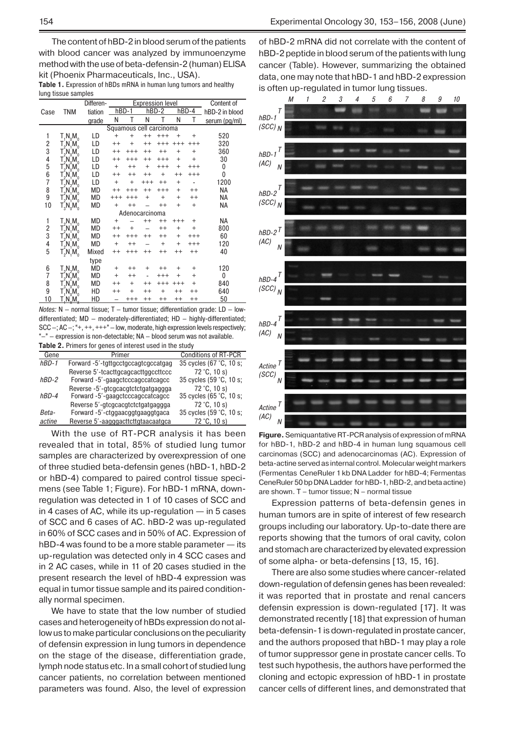The content of hBD-2 in blood serum of the patients with blood cancer was analyzed by immunoenzyme method with the use of beta-defensin-2 (human) ELISA kit (Phoenix Pharmaceuticals, Inc., USA).

**Table 1.** Expression of hBDs mRNA in human lung tumors and healthy lung tissue samples

|                         |                                              | Differen- | <b>Expression level</b> |          |          |          | Content of |           |                |
|-------------------------|----------------------------------------------|-----------|-------------------------|----------|----------|----------|------------|-----------|----------------|
| Case                    | <b>TNM</b>                                   | tiation   | $hBD-1$                 |          |          | $hBD-2$  |            | hBD-4     | hBD-2 in blood |
|                         |                                              | grade     | N                       | T        | Ν        | T        | Ν          | T         | serum (pg/ml)  |
| Squamous cell carcinoma |                                              |           |                         |          |          |          |            |           |                |
| 1                       | $T_1N_0M_0$                                  | LD        | $^{+}$                  | $^{+}$   | $^{++}$  |          |            |           | 520            |
| $\overline{c}$          | $T_2^{\cdot}N_1^{\cdot}M_0^{\cdot}$          | LD        | $^{++}$                 | $^{+}$   | $^{++}$  | $^{+++}$ | $^{++}$    |           | 320            |
| 3                       | $T_2$ N <sub>0</sub> M <sub>0</sub>          | LD        | $^{++}$                 |          | $^{++}$  | $^{++}$  | $^{+}$     | $+$       | 360            |
| 4                       | $T_2$ N $_0$ M $_0$                          | LD        | $^{++}$                 |          | $^{++}$  | $^{+++}$ | $^{+}$     | $^{+}$    | 30             |
| 5                       | $T_2^N N_0^N N_0^N$<br>$T_2^N N_1^N N_0^N$   | LD        | $+$                     | $^{++}$  | $^{+}$   |          | $^{+}$     |           | $\mathbf{0}$   |
| 6                       |                                              | LD        | $^{++}$                 | $^{++}$  |          | $^{+}$   | $^{++}$    | $+++$     | 0              |
| 7                       | $T_2$ N $_2$ M $_0$                          | LD        | $+$                     | $^{+}$   | $^{+++}$ | $^{++}$  | $^{+}$     |           | 1200           |
| 8                       | $T_2^N N_1^N M_0^N$                          | МD        |                         |          |          |          | $^{+}$     | $^{++}$   | ΝA             |
| 9                       | $T_2$ N $_1$ M $_0$                          | MD        |                         |          | $^{+}$   | $^{+}$   | $^{+}$     | $++$      | NA             |
| 10                      | $T_3$ N $_0$ M $_0$                          | MD        | $\ddot{}$               | $^{++}$  |          | $^{++}$  | $^{+}$     | $+$       | ΝA             |
| Adenocarcinoma          |                                              |           |                         |          |          |          |            |           |                |
| 1                       | $T_pN_1M_0$                                  | МD        | +                       |          | $^{++}$  | $^{++}$  | $^{+++}$   | $\ddot{}$ | NA             |
| $\overline{\mathbf{c}}$ | $T_2N_1M_0$                                  | MD        | $^{++}$                 |          |          | $^{++}$  | $^{+}$     | $\ddot{}$ | 800            |
| 3                       | $T_2N_1M_0$                                  | MD        | $^{++}$                 |          | $^{++}$  | $^{++}$  | $^{+}$     | $^{+++}$  | 60             |
| 4                       | $T_2^{\epsilon}N_1^{\epsilon}M_0^{\epsilon}$ | MD        | $+$                     | $^{++}$  |          | $^{+}$   | $^{+}$     | $^{+++}$  | 120            |
| 5                       | $T_2$ N $_1$ M $_0$                          | Mixed     | $^{++}$                 | $^{+++}$ | $^{++}$  | $^{++}$  | $^{++}$    | $++$      | 40             |
|                         |                                              | type      |                         |          |          |          |            |           |                |
| 6                       | $T_2N_2M_0$                                  | МD        | $\ddot{}$               | $^{++}$  | $^{+}$   | $^{++}$  | $^{+}$     | $\ddot{}$ | 120            |
| 7                       | $\mathsf{T}_2\mathsf{N}_2\mathsf{M}_0$       | МD        | $\ddot{}$               | $^{++}$  |          |          |            | $^{+}$    | 0              |
| 8                       |                                              | MD        | $^{++}$                 | $^{+}$   |          |          |            | $^{+}$    | 840            |
| 9                       | T^N^M <sup>o</sup><br>T^N^M^<br>_10M^        | HD        | $^{++}$                 | $^{+}$   |          | $^{+}$   | $^{++}$    | $^{++}$   | 640            |
| 10                      | T,N,M.                                       | HD        |                         | $^{+++}$ | $^{++}$  | $^{++}$  | $^{++}$    | $^{++}$   | 50             |

*Notes:* N — normal tissue; T – tumor tissue; differentiation grade: LD — lowdifferentiated; MD — moderately-differentiated; HD – highly-differentiated; SCC—; AC –; "+, ++, +++" — low, moderate, high expression levels respectively; "–" — expression is non-detectable; NA – blood serum was not available. **Table 2.** Primers for genes of interest used in the study

| Gene    | Primer                              | <b>Conditions of RT-PCR</b> |
|---------|-------------------------------------|-----------------------------|
| $hBD-1$ | Forward -5'-tgttgcctgccagtcgccatgag | 35 cycles (67 °C, 10 s;     |
|         | Reverse 5'-tcacttgcagcacttggccttccc | 72 °C, 10 s)                |
| $hBD-2$ | Forward -5'-gaagctcccagccatcagcc    | 35 cycles (59 °C, 10 s;     |
|         | Reverse -5'-gtcgcacgtctctgatgaggga  | 72 °C, 10 s)                |
| hBD-4   | Forward -5'-gaagctcccagccatcagcc    | 35 cycles (65 °C, 10 s;     |
|         | Reverse 5'-gtcgcacgtctctgatgaggga   | 72 °C, 10 s)                |
| Beta-   | Forward -5'-ctggaacggtgaaggtgaca    | 35 cycles (59 °C, 10 s;     |
| actine  | Reverse 5'-aagggacttcttgtaacaatgca  | 72 °C, 10 s)                |

With the use of RT-PCR analysis it has been revealed that in total, 85% of studied lung tumor samples are characterized by overexpression of one of three studied beta-defensin genes (hBD-1, hBD-2 or hBD-4) compared to paired control tissue specimens (see Table 1; Figure). For hBD-1 mRNA, downregulation was detected in 1 of 10 cases of SCC and in 4 cases of AC, while its up-regulation — in 5 cases of SCC and 6 cases of AC. hBD-2 was up-regulated in 60% of SCC cases and in 50% of AC. Expression of hBD-4 was found to be a more stable parameter — its up-regulation was detected only in 4 SCC cases and in 2 AC cases, while in 11 of 20 cases studied in the present research the level of hBD-4 expression was equal in tumor tissue sample and its paired conditionally normal specimen.

We have to state that the low number of studied cases and heterogeneity of hBDs expression do not allow us to make particular conclusions on the peculiarity of defensin expression in lung tumors in dependence on the stage of the disease, differentiation grade, lymph node status etc. In a small cohort of studied lung cancer patients, no correlation between mentioned parameters was found. Also, the level of expression of hBD-2 mRNA did not correlate with the content of hBD-2 peptide in blood serum of the patients with lung cancer (Table). However, summarizing the obtained data, one may note that hBD-1 and hBD-2 expression is often up-regulated in tumor lung tissues.



**Figure.** Semiquantative RT-PCR analysis of expression of mRNA for hBD-1, hBD-2 and hBD-4 in human lung squamous cell carcinomas (SCC) and adenocarcinomas (AC). Expression of beta-actine served as internal control. Molecular weight markers (Fermentas CeneRuler 1 kb DNA Ladder for hBD-4; Fermentas CeneRuler 50 bp DNA Ladder for hBD-1, hBD-2, and beta actine) are shown. T – tumor tissue; N – normal tissue

Expression patterns of beta-defensin genes in human tumors are in spite of interest of few research groups including our laboratory. Up-to-date there are reports showing that the tumors of oral cavity, colon and stomach are characterized by elevated expression of some alpha- or beta-defensins [13, 15, 16].

There are also some studies where cancer-related down-regulation of defensin genes has been revealed: it was reported that in prostate and renal cancers defensin expression is down-regulated [17]. It was demonstrated recently [18] that expression of human beta-defensin-1 is down-regulated in prostate cancer, and the authors proposed that hBD-1 may play a role of tumor suppressor gene in prostate cancer cells. To test such hypothesis, the authors have performed the cloning and ectopic expression of hBD-1 in prostate cancer cells of different lines, and demonstrated that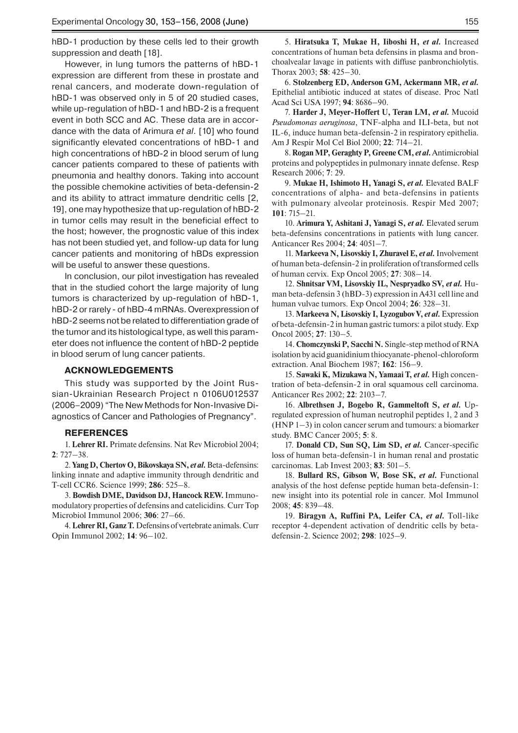hBD-1 production by these cells led to their growth suppression and death [18].

However, in lung tumors the patterns of hBD-1 expression are different from these in prostate and renal cancers, and moderate down-regulation of hBD-1 was observed only in 5 of 20 studied cases, while up-regulation of hBD-1 and hBD-2 is a frequent event in both SCC and AC. These data are in accordance with the data of Arimura *et al*. [10] who found significantly elevated concentrations of hBD-1 and high concentrations of hBD-2 in blood serum of lung cancer patients compared to these of patients with pneumonia and healthy donors. Taking into account the possible chemokine activities of beta-defensin-2 and its ability to attract immature dendritic cells [2, 19], one may hypothesize that up-regulation of hBD-2 in tumor cells may result in the beneficial effect to the host; however, the prognostic value of this index has not been studied yet, and follow-up data for lung cancer patients and monitoring of hBDs expression will be useful to answer these questions.

In conclusion, our pilot investigation has revealed that in the studied cohort the large majority of lung tumors is characterized by up-regulation of hBD-1, hBD-2 or rarely - of hBD-4 mRNAs. Overexpression of hBD-2 seems not be related to differentiation grade of the tumor and its histological type, as well this parameter does not influence the content of hBD-2 peptide in blood serum of lung cancer patients.

## **ACKNOWLEDGEMENTs**

This study was supported by the Joint Russian-Ukrainian Research Project n 0106U012537 (2006–2009) "The New Methods for Non-Invasive Diagnostics of Cancer and Pathologies of Pregnancy".

## **REFERENCES**

1. **Lehrer RI.** Primate defensins. Nat Rev Microbiol 2004; **2**: 727–38.

2. **Yang D, Chertov O, Bikovskaya SN,** *et al.*Beta-defensins: linking innate and adaptive immunity through dendritic and T-cell CCR6. Science 1999; **286**: 525–8.

3. **Bowdish DME, Davidson DJ, Hancock REW.** Immunomodulatory properties of defensins and catelicidins. Curr Top Microbiol Immunol 2006; **306**: 27–66.

4. **Lehrer RI, Ganz T.** Defensins of vertebrate animals. Curr Opin Immunol 2002; **14**: 96–102.

5. **Hiratsuka T, Mukae H, Iiboshi H,** *et al.* Increased concentrations of human beta defensins in plasma and bronchoalvealar lavage in patients with diffuse panbronchiolytis. Thorax 2003; **58**: 425–30.

6. **Stolzenberg ED, Anderson GM, Ackermann MR,** *et al.* Epithelial antibiotic induced at states of disease. Proc Natl Acad Sci USA 1997; **94**: 8686–90.

7. **Harder J, Meyer-Hoffert U, Teran LM,** *et al.* Mucoid *Pseudomonas aeruginosa*, TNF-alpha and ILI-beta, but not IL-6, induce human beta-defensin-2 in respiratory epithelia. Am J Respir Mol Cel Biol 2000; **22**: 714–21.

8. **Rogan MP, Geraghty P, Greene CM,** *et al***.** Antimicrobial proteins and polypeptides in pulmonary innate defense. Resp Research 2006; **7**: 29.

9. **Mukae H, Ishimoto H, Yanagi S,** *et al.* Elevated BALF concentrations of alpha- and beta-defensins in patients with pulmonary alveolar proteinosis. Respir Med 2007; **101**: 715–21.

10. **Arimura Y, Ashitani J, Yanagi S,** *et al.* Elevated serum beta-defensins concentrations in patients with lung cancer. Anticancer Res 2004; **24**: 4051–7.

11. **Markeeva N, Lisovskiy I, Zhuravel E,** *et al.*Involvement of human beta-defensin-2 in proliferation of transformed cells of human cervix. Exp Oncol 2005; **27**: 308–14.

12. **Shnitsar VM, Lisovskiy IL, Nespryadko SV,** *et al.* Human beta-defensin 3 (hBD-3) expression in A431 cell line and human vulvae tumors. Exp Oncol 2004; **26**: 328–31.

13. Markeeva N, Lisovskiy I, Lyzogubov V, et al. Expression of beta-defensin-2 in human gastric tumors: a pilot study. Exp Oncol 2005; **27**: 130–5.

14. **Chomczynski P, Sacchi N.** Single-step method of RNA isolation by acid guanidinium thiocyanate-phenol-chloroform extraction. Anal Biochem 1987; **162**: 156–9.

15. **Sawaki K, Mizukawa N, Yamaai T,** *et al.* High concentration of beta-defensin-2 in oral squamous cell carcinoma. Anticancer Res 2002; **22**: 2103–7.

16. **Albrethsen J, Bogebo R, Gammeltoft S,** *et al.* Upregulated expression of human neutrophil peptides 1, 2 and 3 (HNP 1–3) in colon cancer serum and tumours: a biomarker study. BMC Cancer 2005; **5**: 8.

17. **Donald CD, Sun SQ, Lim SD,** *et al.* Cancer-specific loss of human beta-defensin-1 in human renal and prostatic carcinomas. Lab Invest 2003; **83**: 501–5.

18. **Bullard RS, Gibson W, Bose SK,** *et al.* Functional analysis of the host defense peptide human beta-defensin-1: new insight into its potential role in cancer. Mol Immunol 2008; **45**: 839–48.

19. **Biragyn A, Ruffini PA, Leifer CA,** *et al.* Toll-like receptor 4-dependent activation of dendritic cells by betadefensin-2. Science 2002; **298**: 1025–9.